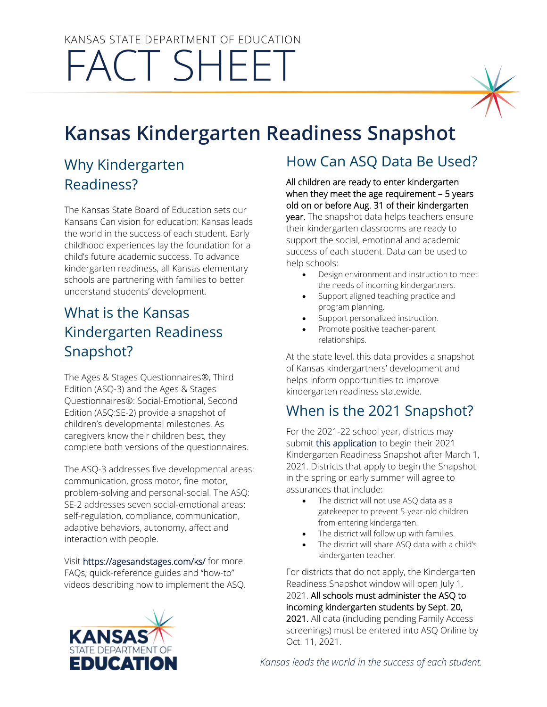# KANSAS STATE DEPARTMENT OF EDUCATION FACT SHEET

# **Kansas Kindergarten Readiness Snapshot**

### Why Kindergarten Readiness?

The Kansas State Board of Education sets our Kansans Can vision for education: Kansas leads the world in the success of each student. Early childhood experiences lay the foundation for a child's future academic success. To advance kindergarten readiness, all Kansas elementary schools are partnering with families to better understand students' development.

### What is the Kansas Kindergarten Readiness Snapshot?

The Ages & Stages Questionnaires®, Third Edition (ASQ-3) and the Ages & Stages Questionnaires®: Social-Emotional, Second Edition (ASQ:SE-2) provide a snapshot of children's developmental milestones. As caregivers know their children best, they complete both versions of the questionnaires.

The ASQ-3 addresses five developmental areas: communication, gross motor, fine motor, problem-solving and personal-social. The ASQ: SE-2 addresses seven social-emotional areas: self-regulation, compliance, communication, adaptive behaviors, autonomy, affect and interaction with people.

Visit<https://agesandstages.com/ks/> for more FAQs, quick-reference guides and "how-to" videos describing how to implement the ASQ.



### How Can ASQ Data Be Used?

All children are ready to enter kindergarten when they meet the age requirement – 5 years old on or before Aug. 31 of their kindergarten year. The snapshot data helps teachers ensure their kindergarten classrooms are ready to

support the social, emotional and academic success of each student. Data can be used to help schools:

- Design environment and instruction to meet the needs of incoming kindergartners.
- Support aligned teaching practice and program planning.
- Support personalized instruction.
- Promote positive teacher-parent relationships.

At the state level, this data provides a snapshot of Kansas kindergartners' development and helps inform opportunities to improve kindergarten readiness statewide.

### When is the 2021 Snapshot?

For the 2021-22 school year, districts may submit [this application](https://docs.google.com/forms/d/e/1FAIpQLScBjaLmM5eRYt1CGajNYoE4UmOd2bdIkYcERIelarA2idjECg/viewform) to begin their 2021 Kindergarten Readiness Snapshot after March 1, 2021. Districts that apply to begin the Snapshot in the spring or early summer will agree to assurances that include:

- The district will not use ASQ data as a gatekeeper to prevent 5-year-old children from entering kindergarten.
- The district will follow up with families.
- The district will share ASQ data with a child's kindergarten teacher.

For districts that do not apply, the Kindergarten Readiness Snapshot window will open July 1, 2021. All schools must administer the ASQ to incoming kindergarten students by Sept. 20, 2021. All data (including pending Family Access screenings) must be entered into ASQ Online by Oct. 11, 2021.

*Kansas leads the world in the success of each student.*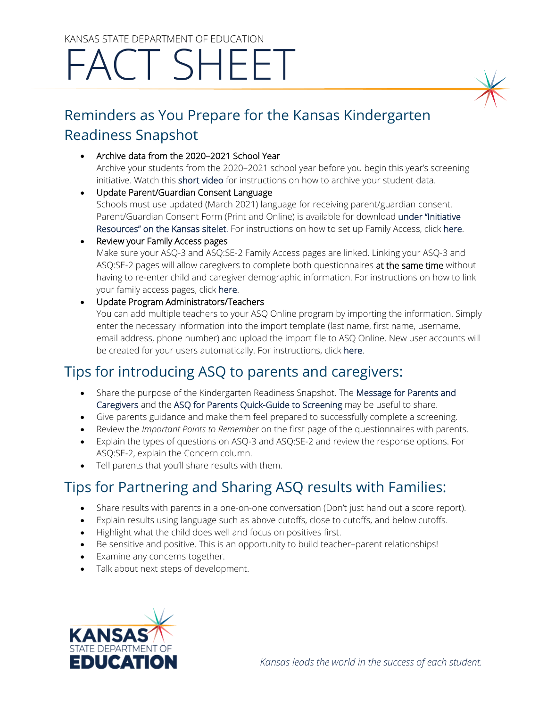# KANSAS STATE DEPARTMENT OF EDUCATION FACT SHEET

## Reminders as You Prepare for the Kansas Kindergarten Readiness Snapshot

- Archive data from the 2020–2021 School Year Archive your students from the 2020–2021 school year before you begin this year's screening initiative. Watch thi[s short video](https://agesandstages.com/ks/how-to-videos/#silk-accordion-0-50) for instructions on how to archive your student data.
- Update Parent/Guardian Consent Language Schools must use updated (March 2021) language for receiving parent/guardian consent. Parent/Guardian Consent Form (Print and Online) is available for download under "Initiative [Resources" on the Kansas sitelet.](https://agesandstages.com/ks/#silk-tabs-0-1) For instructions on how to set up Family Access, click [here.](https://agesandstages.com/ks/how-to-videos/#silk-accordion-0-23)

• Review your Family Access pages Make sure your ASQ-3 and ASQ:SE-2 Family Access pages are linked. Linking your ASQ-3 and ASQ:SE-2 pages will allow caregivers to complete both questionnaires at the same time without having to re-enter child and caregiver demographic information. For instructions on how to link your family access pages, clic[k here.](https://agesandstages.com/ks/how-to-videos/#silk-accordion-0-26) 

• Update Program Administrators/Teachers You can add multiple teachers to your ASQ Online program by importing the information. Simply enter the necessary information into the import template (last name, first name, username, email address, phone number) and upload the import file to ASQ Online. New user accounts will be created for your users automatically. For instructions, click [here.](https://agesandstages.com/ks/how-to-videos/#silk-accordion-0-17)

### Tips for introducing ASQ to parents and caregivers:

- Share the purpose of the Kindergarten Readiness Snapshot. The Message for Parents and [Caregivers](https://agesandstages.com/ks/#silk-accordion-0-5) and th[e ASQ for Parents Quick-Guide to Screening](https://agesandstages.com/wp-content/uploads/2018/12/ASQ-For-Parents-Packet.pdf) may be useful to share.
- Give parents guidance and make them feel prepared to successfully complete a screening.
- Review the *Important Points to Remember* on the first page of the questionnaires with parents.
- Explain the types of questions on ASQ-3 and ASQ:SE-2 and review the response options. For ASQ:SE-2, explain the Concern column.
- Tell parents that you'll share results with them.

### Tips for Partnering and Sharing ASQ results with Families:

- Share results with parents in a one-on-one conversation (Don't just hand out a score report).
- Explain results using language such as above cutoffs, close to cutoffs, and below cutoffs.
- Highlight what the child does well and focus on positives first.
- Be sensitive and positive. This is an opportunity to build teacher–parent relationships!
- Examine any concerns together.
- Talk about next steps of development.